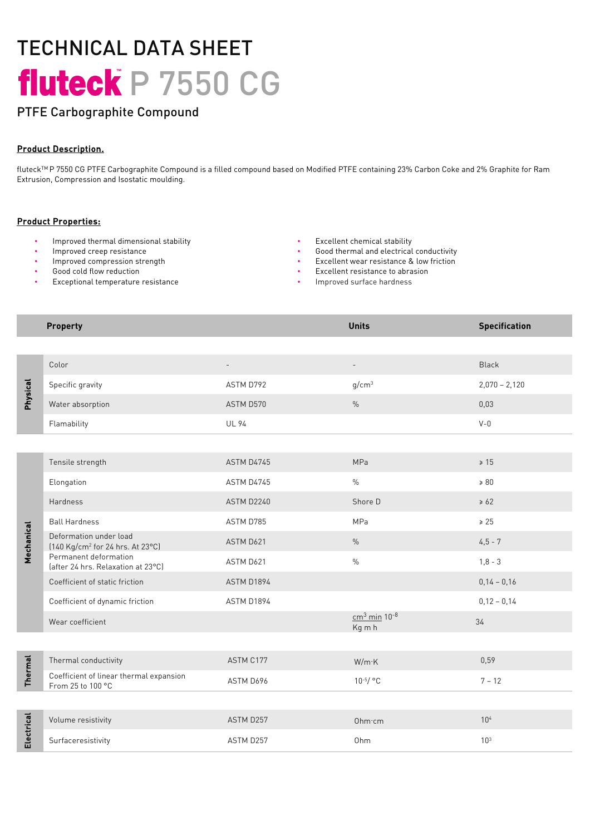# TECHNICAL DATA SHEET fluteck P 7550 CG

## PTFE Carbographite Compound

### Product Description.

fluteckTM P 7550 CG PTFE Carbographite Compound is a filled compound based on Modified PTFE containing 23% Carbon Coke and 2% Graphite for Ram Extrusion, Compression and Isostatic moulding.

#### Product Properties:

- Improved thermal dimensional stability Excellent chemical stability
- 
- Improved compression strength
- Good cold flow reduction
- Exceptional temperature resistance
- 
- Improved creep resistance **•** Good thermal and electrical conductivity
	- Excellent wear resistance & low friction
	- Excellent resistance to abrasion
	- Improved surface hardness

#### **Property Units Specification**

| Physical       | Color                                                                  |              |                                      | <b>Black</b>    |
|----------------|------------------------------------------------------------------------|--------------|--------------------------------------|-----------------|
|                | Specific gravity                                                       | ASTM D792    | q/cm <sup>3</sup>                    | $2,070 - 2,120$ |
|                | Water absorption                                                       | ASTM D570    | $\frac{0}{0}$                        | 0,03            |
|                | Flamability                                                            | <b>UL 94</b> |                                      | $V - 0$         |
|                |                                                                        |              |                                      |                 |
| Mechanical     | Tensile strength                                                       | ASTM D4745   | MPa                                  | $\geq 15$       |
|                | Elongation                                                             | ASTM D4745   | $\frac{0}{0}$                        | $\geq 80$       |
|                | <b>Hardness</b>                                                        | ASTM D2240   | Shore D                              | $\geq 62$       |
|                | <b>Ball Hardness</b>                                                   | ASTM D785    | MPa                                  | $\geq 25$       |
|                | Deformation under load<br>[140 Kg/cm <sup>2</sup> for 24 hrs. At 23°C] | ASTM D621    | $\%$                                 | $4,5 - 7$       |
|                | Permanent deformation<br>(after 24 hrs. Relaxation at 23°C)            | ASTM D621    | $\frac{0}{0}$                        | $1,8 - 3$       |
|                | Coefficient of static friction                                         | ASTM D1894   |                                      | $0,14 - 0,16$   |
|                | Coefficient of dynamic friction                                        | ASTM D1894   |                                      | $0,12 - 0,14$   |
|                | Wear coefficient                                                       |              | $cm3$ min 10 <sup>-8</sup><br>Kg m h | 34              |
|                |                                                                        |              |                                      |                 |
| <b>Thermal</b> | Thermal conductivity                                                   | ASTM C177    | W/m K                                | 0,59            |
|                | Coefficient of linear thermal expansion<br>From 25 to 100 °C           | ASTM D696    | $10^{-5}/$ °C                        | $7 - 12$        |
|                |                                                                        |              |                                      |                 |
| Electrical     | Volume resistivity                                                     | ASTM D257    | Ohm cm                               | 10 <sup>4</sup> |
|                | Surfaceresistivity                                                     | ASTM D257    | Ohm                                  | 10 <sup>3</sup> |
|                |                                                                        |              |                                      |                 |
|                |                                                                        |              |                                      |                 |
|                |                                                                        |              |                                      |                 |